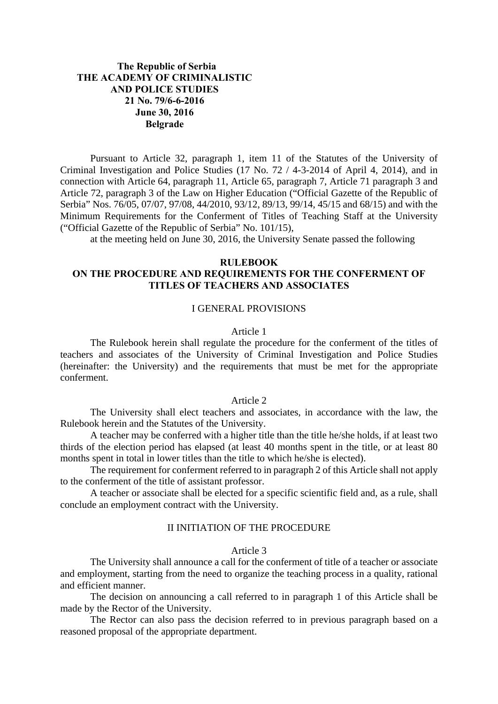# **The Republic of Serbia THE ACADEMY OF CRIMINALISTIC AND POLICE STUDIES 21 No. 79/6-6-2016 June 30, 2016 Belgrade**

Pursuant to Article 32, paragraph 1, item 11 of the Statutes of the University of Criminal Investigation and Police Studies (17 No. 72 / 4-3-2014 of April 4, 2014), and in connection with Article 64, paragraph 11, Article 65, paragraph 7, Article 71 paragraph 3 and Article 72, paragraph 3 of the Law on Higher Education ("Official Gazette of the Republic of Serbia" Nos. 76/05, 07/07, 97/08, 44/2010, 93/12, 89/13, 99/14, 45/15 and 68/15) and with the Minimum Requirements for the Conferment of Titles of Teaching Staff at the University ("Official Gazette of the Republic of Serbia" No. 101/15),

at the meeting held on June 30, 2016, the University Senate passed the following

# **RULEBOOK ON THE PROCEDURE AND REQUIREMENTS FOR THE CONFERMENT OF TITLES OF TEACHERS AND ASSOCIATES**

# I GENERAL PROVISIONS

### Article 1

The Rulebook herein shall regulate the procedure for the conferment of the titles of teachers and associates of the University of Criminal Investigation and Police Studies (hereinafter: the University) and the requirements that must be met for the appropriate conferment.

### Article 2

The University shall elect teachers and associates, in accordance with the law, the Rulebook herein and the Statutes of the University.

A teacher may be conferred with a higher title than the title he/she holds, if at least two thirds of the election period has elapsed (at least 40 months spent in the title, or at least 80 months spent in total in lower titles than the title to which he/she is elected).

The requirement for conferment referred to in paragraph 2 of this Article shall not apply to the conferment of the title of assistant professor.

A teacher or associate shall be elected for a specific scientific field and, as a rule, shall conclude an employment contract with the University.

# II INITIATION OF THE PROCEDURE

### Article 3

The University shall announce a call for the conferment of title of a teacher or associate and employment, starting from the need to organize the teaching process in a quality, rational and efficient manner.

The decision on announcing a call referred to in paragraph 1 of this Article shall be made by the Rector of the University.

The Rector can also pass the decision referred to in previous paragraph based on a reasoned proposal of the appropriate department.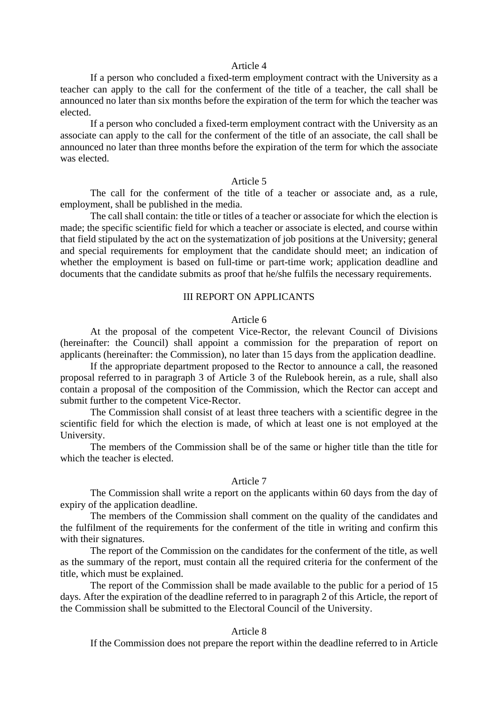### Article 4

If a person who concluded a fixed-term employment contract with the University as a teacher can apply to the call for the conferment of the title of a teacher, the call shall be announced no later than six months before the expiration of the term for which the teacher was elected.

If a person who concluded a fixed-term employment contract with the University as an associate can apply to the call for the conferment of the title of an associate, the call shall be announced no later than three months before the expiration of the term for which the associate was elected.

### Article 5

The call for the conferment of the title of a teacher or associate and, as a rule, employment, shall be published in the media.

The call shall contain: the title or titles of a teacher or associate for which the election is made; the specific scientific field for which a teacher or associate is elected, and course within that field stipulated by the act on the systematization of job positions at the University; general and special requirements for employment that the candidate should meet; an indication of whether the employment is based on full-time or part-time work; application deadline and documents that the candidate submits as proof that he/she fulfils the necessary requirements.

# III REPORT ON APPLICANTS

### Article 6

At the proposal of the competent Vice-Rector, the relevant Council of Divisions (hereinafter: the Council) shall appoint a commission for the preparation of report on applicants (hereinafter: the Commission), no later than 15 days from the application deadline.

If the appropriate department proposed to the Rector to announce a call, the reasoned proposal referred to in paragraph 3 of Article 3 of the Rulebook herein, as a rule, shall also contain a proposal of the composition of the Commission, which the Rector can accept and submit further to the competent Vice-Rector.

The Commission shall consist of at least three teachers with a scientific degree in the scientific field for which the election is made, of which at least one is not employed at the University.

The members of the Commission shall be of the same or higher title than the title for which the teacher is elected.

### Article 7

The Commission shall write a report on the applicants within 60 days from the day of expiry of the application deadline.

The members of the Commission shall comment on the quality of the candidates and the fulfilment of the requirements for the conferment of the title in writing and confirm this with their signatures.

The report of the Commission on the candidates for the conferment of the title, as well as the summary of the report, must contain all the required criteria for the conferment of the title, which must be explained.

The report of the Commission shall be made available to the public for a period of 15 days. After the expiration of the deadline referred to in paragraph 2 of this Article, the report of the Commission shall be submitted to the Electoral Council of the University.

### Article 8

If the Commission does not prepare the report within the deadline referred to in Article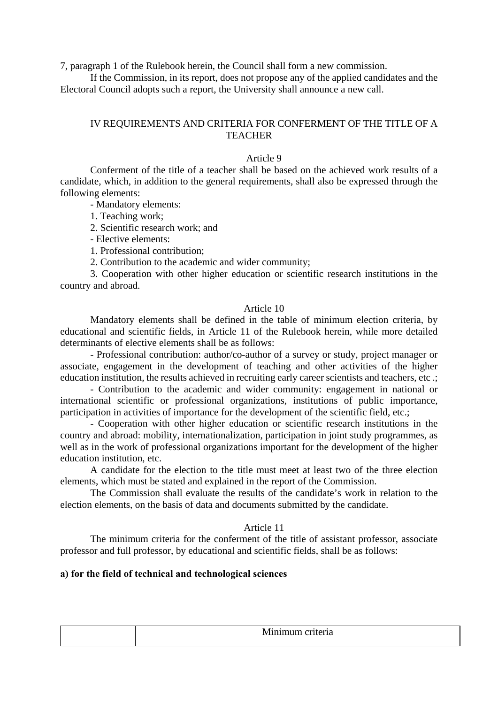7, paragraph 1 of the Rulebook herein, the Council shall form a new commission.

If the Commission, in its report, does not propose any of the applied candidates and the Electoral Council adopts such a report, the University shall announce a new call.

# IV REQUIREMENTS AND CRITERIA FOR CONFERMENT OF THE TITLE OF A **TEACHER**

# Article 9

Conferment of the title of a teacher shall be based on the achieved work results of a candidate, which, in addition to the general requirements, shall also be expressed through the following elements:

- Mandatory elements:

1. Teaching work;

2. Scientific research work; and

- Elective elements:

1. Professional contribution;

2. Contribution to the academic and wider community;

3. Cooperation with other higher education or scientific research institutions in the country and abroad.

## Article 10

Mandatory elements shall be defined in the table of minimum election criteria, by educational and scientific fields, in Article 11 of the Rulebook herein, while more detailed determinants of elective elements shall be as follows:

- Professional contribution: author/co-author of a survey or study, project manager or associate, engagement in the development of teaching and other activities of the higher education institution, the results achieved in recruiting early career scientists and teachers, etc .;

- Contribution to the academic and wider community: engagement in national or international scientific or professional organizations, institutions of public importance, participation in activities of importance for the development of the scientific field, etc.;

- Cooperation with other higher education or scientific research institutions in the country and abroad: mobility, internationalization, participation in joint study programmes, as well as in the work of professional organizations important for the development of the higher education institution, etc.

A candidate for the election to the title must meet at least two of the three election elements, which must be stated and explained in the report of the Commission.

The Commission shall evaluate the results of the candidate's work in relation to the election elements, on the basis of data and documents submitted by the candidate.

# Article 11

The minimum criteria for the conferment of the title of assistant professor, associate professor and full professor, by educational and scientific fields, shall be as follows:

# **а) for the field of technical and technological sciences**

Minimum criteria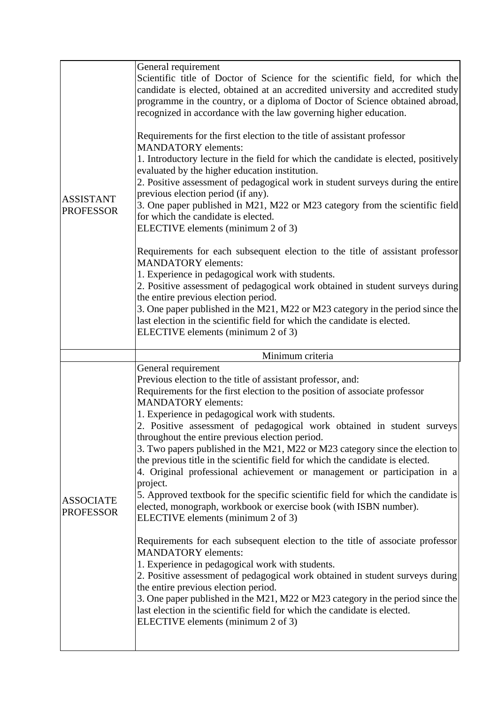| <b>ASSISTANT</b><br><b>PROFESSOR</b> | General requirement<br>Scientific title of Doctor of Science for the scientific field, for which the<br>candidate is elected, obtained at an accredited university and accredited study<br>programme in the country, or a diploma of Doctor of Science obtained abroad,<br>recognized in accordance with the law governing higher education.<br>Requirements for the first election to the title of assistant professor<br><b>MANDATORY</b> elements:<br>1. Introductory lecture in the field for which the candidate is elected, positively<br>evaluated by the higher education institution.<br>2. Positive assessment of pedagogical work in student surveys during the entire<br>previous election period (if any).<br>3. One paper published in M21, M22 or M23 category from the scientific field<br>for which the candidate is elected.<br>ELECTIVE elements (minimum 2 of 3)<br>Requirements for each subsequent election to the title of assistant professor<br><b>MANDATORY</b> elements:<br>1. Experience in pedagogical work with students.<br>2. Positive assessment of pedagogical work obtained in student surveys during<br>the entire previous election period.<br>3. One paper published in the M21, M22 or M23 category in the period since the<br>last election in the scientific field for which the candidate is elected.<br>ELECTIVE elements (minimum 2 of 3) |
|--------------------------------------|---------------------------------------------------------------------------------------------------------------------------------------------------------------------------------------------------------------------------------------------------------------------------------------------------------------------------------------------------------------------------------------------------------------------------------------------------------------------------------------------------------------------------------------------------------------------------------------------------------------------------------------------------------------------------------------------------------------------------------------------------------------------------------------------------------------------------------------------------------------------------------------------------------------------------------------------------------------------------------------------------------------------------------------------------------------------------------------------------------------------------------------------------------------------------------------------------------------------------------------------------------------------------------------------------------------------------------------------------------------------------------------|
|                                      | Minimum criteria                                                                                                                                                                                                                                                                                                                                                                                                                                                                                                                                                                                                                                                                                                                                                                                                                                                                                                                                                                                                                                                                                                                                                                                                                                                                                                                                                                      |
| <b>ASSOCIATE</b><br><b>PROFESSOR</b> | General requirement<br>Previous election to the title of assistant professor, and:<br>Requirements for the first election to the position of associate professor<br><b>MANDATORY</b> elements:<br>1. Experience in pedagogical work with students.<br>2. Positive assessment of pedagogical work obtained in student surveys<br>throughout the entire previous election period.<br>3. Two papers published in the M21, M22 or M23 category since the election to<br>the previous title in the scientific field for which the candidate is elected.<br>4. Original professional achievement or management or participation in a<br>project.<br>5. Approved textbook for the specific scientific field for which the candidate is<br>elected, monograph, workbook or exercise book (with ISBN number).<br>ELECTIVE elements (minimum 2 of 3)<br>Requirements for each subsequent election to the title of associate professor<br><b>MANDATORY</b> elements:<br>1. Experience in pedagogical work with students.<br>2. Positive assessment of pedagogical work obtained in student surveys during<br>the entire previous election period.<br>3. One paper published in the M21, M22 or M23 category in the period since the<br>last election in the scientific field for which the candidate is elected.<br>ELECTIVE elements (minimum 2 of 3)                                           |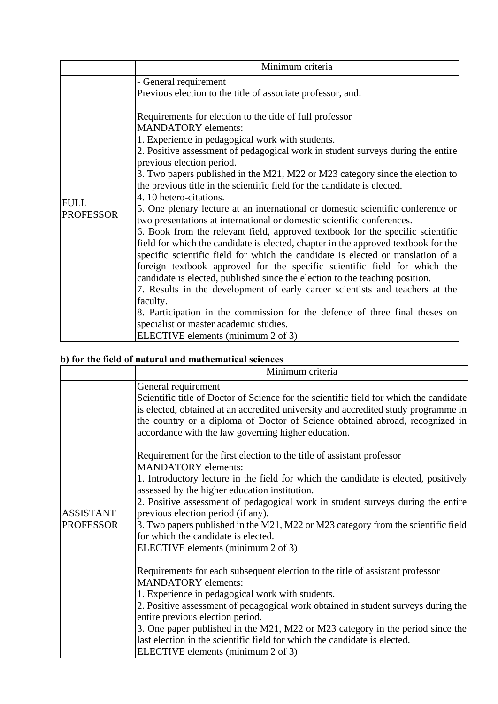|                                 | Minimum criteria                                                                                                                                                                                                                                                                                                                                                                                                                                                                                                                                                                                                                                                                                                                                                                                                                                                                                                                                                                                                                                                                                                                                                                                                                                                                                   |
|---------------------------------|----------------------------------------------------------------------------------------------------------------------------------------------------------------------------------------------------------------------------------------------------------------------------------------------------------------------------------------------------------------------------------------------------------------------------------------------------------------------------------------------------------------------------------------------------------------------------------------------------------------------------------------------------------------------------------------------------------------------------------------------------------------------------------------------------------------------------------------------------------------------------------------------------------------------------------------------------------------------------------------------------------------------------------------------------------------------------------------------------------------------------------------------------------------------------------------------------------------------------------------------------------------------------------------------------|
|                                 | - General requirement                                                                                                                                                                                                                                                                                                                                                                                                                                                                                                                                                                                                                                                                                                                                                                                                                                                                                                                                                                                                                                                                                                                                                                                                                                                                              |
|                                 | Previous election to the title of associate professor, and:                                                                                                                                                                                                                                                                                                                                                                                                                                                                                                                                                                                                                                                                                                                                                                                                                                                                                                                                                                                                                                                                                                                                                                                                                                        |
| <b>FULL</b><br><b>PROFESSOR</b> | Requirements for election to the title of full professor<br><b>MANDATORY</b> elements:<br>1. Experience in pedagogical work with students.<br>2. Positive assessment of pedagogical work in student surveys during the entire<br>previous election period.<br>3. Two papers published in the M21, M22 or M23 category since the election to<br>the previous title in the scientific field for the candidate is elected.<br>4.10 hetero-citations.<br>5. One plenary lecture at an international or domestic scientific conference or<br>two presentations at international or domestic scientific conferences.<br>6. Book from the relevant field, approved textbook for the specific scientific<br>field for which the candidate is elected, chapter in the approved textbook for the<br>specific scientific field for which the candidate is elected or translation of a<br>foreign textbook approved for the specific scientific field for which the<br>candidate is elected, published since the election to the teaching position.<br>7. Results in the development of early career scientists and teachers at the<br>faculty.<br>8. Participation in the commission for the defence of three final theses on<br>specialist or master academic studies.<br>ELECTIVE elements (minimum 2 of 3) |

# **b) for the field of natural and mathematical sciences**

|                                      | Minimum criteria                                                                                                                                                                                                                                                                                                                                                                                                                                                                                                                        |
|--------------------------------------|-----------------------------------------------------------------------------------------------------------------------------------------------------------------------------------------------------------------------------------------------------------------------------------------------------------------------------------------------------------------------------------------------------------------------------------------------------------------------------------------------------------------------------------------|
| <b>ASSISTANT</b><br><b>PROFESSOR</b> | General requirement<br>Scientific title of Doctor of Science for the scientific field for which the candidate<br>is elected, obtained at an accredited university and accredited study programme in<br>the country or a diploma of Doctor of Science obtained abroad, recognized in<br>accordance with the law governing higher education.                                                                                                                                                                                              |
|                                      | Requirement for the first election to the title of assistant professor<br><b>MANDATORY</b> elements:<br>1. Introductory lecture in the field for which the candidate is elected, positively<br>assessed by the higher education institution.<br>2. Positive assessment of pedagogical work in student surveys during the entire<br>previous election period (if any).<br>3. Two papers published in the M21, M22 or M23 category from the scientific field<br>for which the candidate is elected.<br>ELECTIVE elements (minimum 2 of 3) |
|                                      | Requirements for each subsequent election to the title of assistant professor<br><b>MANDATORY</b> elements:<br>1. Experience in pedagogical work with students.<br>2. Positive assessment of pedagogical work obtained in student surveys during the<br>entire previous election period.<br>3. One paper published in the M21, M22 or M23 category in the period since the<br>last election in the scientific field for which the candidate is elected.<br>ELECTIVE elements (minimum 2 of 3)                                           |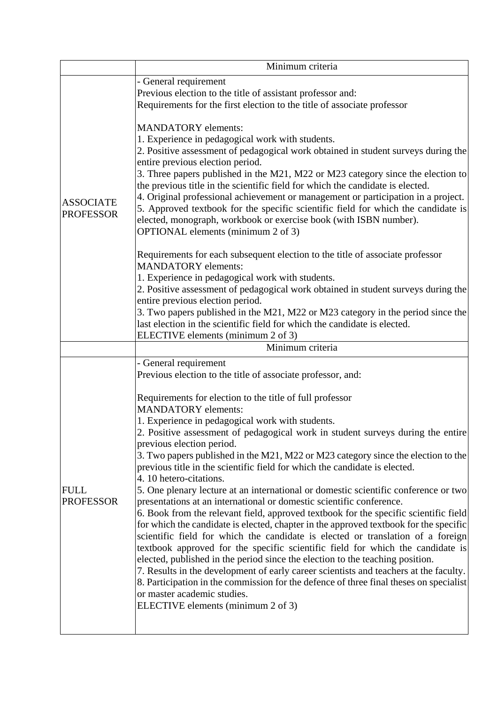|                                      | Minimum criteria                                                                                                                                                                                                                                                                                                                                                                                                                                                                                                                                                                                                                                                                                                                                                                                                                                                                                                                                                                                                                                                                                                                                                                                                                                                                                                      |
|--------------------------------------|-----------------------------------------------------------------------------------------------------------------------------------------------------------------------------------------------------------------------------------------------------------------------------------------------------------------------------------------------------------------------------------------------------------------------------------------------------------------------------------------------------------------------------------------------------------------------------------------------------------------------------------------------------------------------------------------------------------------------------------------------------------------------------------------------------------------------------------------------------------------------------------------------------------------------------------------------------------------------------------------------------------------------------------------------------------------------------------------------------------------------------------------------------------------------------------------------------------------------------------------------------------------------------------------------------------------------|
|                                      | - General requirement                                                                                                                                                                                                                                                                                                                                                                                                                                                                                                                                                                                                                                                                                                                                                                                                                                                                                                                                                                                                                                                                                                                                                                                                                                                                                                 |
|                                      | Previous election to the title of assistant professor and:                                                                                                                                                                                                                                                                                                                                                                                                                                                                                                                                                                                                                                                                                                                                                                                                                                                                                                                                                                                                                                                                                                                                                                                                                                                            |
| <b>ASSOCIATE</b><br><b>PROFESSOR</b> | Requirements for the first election to the title of associate professor                                                                                                                                                                                                                                                                                                                                                                                                                                                                                                                                                                                                                                                                                                                                                                                                                                                                                                                                                                                                                                                                                                                                                                                                                                               |
|                                      | <b>MANDATORY</b> elements:<br>1. Experience in pedagogical work with students.<br>2. Positive assessment of pedagogical work obtained in student surveys during the<br>entire previous election period.<br>3. Three papers published in the M21, M22 or M23 category since the election to<br>the previous title in the scientific field for which the candidate is elected.<br>4. Original professional achievement or management or participation in a project.<br>5. Approved textbook for the specific scientific field for which the candidate is<br>elected, monograph, workbook or exercise book (with ISBN number).<br><b>OPTIONAL</b> elements (minimum 2 of 3)<br>Requirements for each subsequent election to the title of associate professor<br><b>MANDATORY</b> elements:<br>1. Experience in pedagogical work with students.                                                                                                                                                                                                                                                                                                                                                                                                                                                                           |
|                                      | 2. Positive assessment of pedagogical work obtained in student surveys during the                                                                                                                                                                                                                                                                                                                                                                                                                                                                                                                                                                                                                                                                                                                                                                                                                                                                                                                                                                                                                                                                                                                                                                                                                                     |
|                                      | entire previous election period.                                                                                                                                                                                                                                                                                                                                                                                                                                                                                                                                                                                                                                                                                                                                                                                                                                                                                                                                                                                                                                                                                                                                                                                                                                                                                      |
|                                      | 3. Two papers published in the M21, M22 or M23 category in the period since the                                                                                                                                                                                                                                                                                                                                                                                                                                                                                                                                                                                                                                                                                                                                                                                                                                                                                                                                                                                                                                                                                                                                                                                                                                       |
|                                      | last election in the scientific field for which the candidate is elected.<br>ELECTIVE elements (minimum 2 of 3)                                                                                                                                                                                                                                                                                                                                                                                                                                                                                                                                                                                                                                                                                                                                                                                                                                                                                                                                                                                                                                                                                                                                                                                                       |
|                                      | Minimum criteria                                                                                                                                                                                                                                                                                                                                                                                                                                                                                                                                                                                                                                                                                                                                                                                                                                                                                                                                                                                                                                                                                                                                                                                                                                                                                                      |
|                                      | - General requirement                                                                                                                                                                                                                                                                                                                                                                                                                                                                                                                                                                                                                                                                                                                                                                                                                                                                                                                                                                                                                                                                                                                                                                                                                                                                                                 |
|                                      | Previous election to the title of associate professor, and:                                                                                                                                                                                                                                                                                                                                                                                                                                                                                                                                                                                                                                                                                                                                                                                                                                                                                                                                                                                                                                                                                                                                                                                                                                                           |
| <b>FULL</b><br><b>PROFESSOR</b>      | Requirements for election to the title of full professor<br><b>MANDATORY</b> elements:<br>1. Experience in pedagogical work with students.<br>2. Positive assessment of pedagogical work in student surveys during the entire<br>previous election period.<br>3. Two papers published in the M21, M22 or M23 category since the election to the<br>previous title in the scientific field for which the candidate is elected.<br>4.10 hetero-citations.<br>5. One plenary lecture at an international or domestic scientific conference or two<br>presentations at an international or domestic scientific conference.<br>6. Book from the relevant field, approved textbook for the specific scientific field<br>for which the candidate is elected, chapter in the approved textbook for the specific<br>scientific field for which the candidate is elected or translation of a foreign<br>textbook approved for the specific scientific field for which the candidate is<br>elected, published in the period since the election to the teaching position.<br>7. Results in the development of early career scientists and teachers at the faculty.<br>8. Participation in the commission for the defence of three final theses on specialist<br>or master academic studies.<br>ELECTIVE elements (minimum 2 of 3) |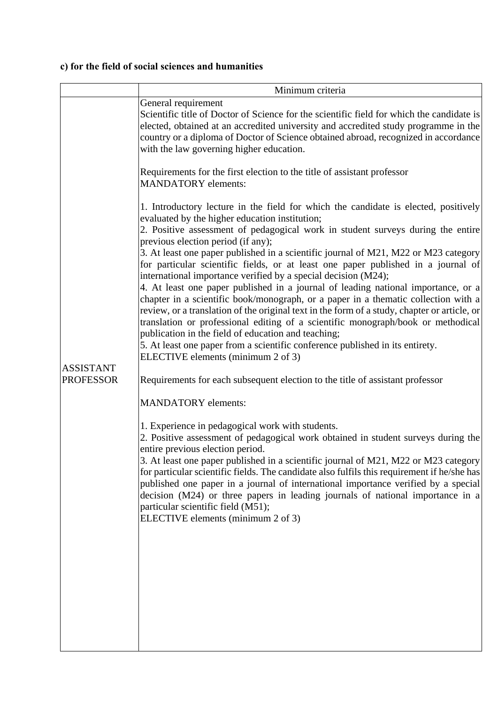# **c) for the field of social sciences and humanities**

|                  | Minimum criteria                                                                                                                                                                                                                                                                                                                                                                                                                                                                                                                                                                                                    |
|------------------|---------------------------------------------------------------------------------------------------------------------------------------------------------------------------------------------------------------------------------------------------------------------------------------------------------------------------------------------------------------------------------------------------------------------------------------------------------------------------------------------------------------------------------------------------------------------------------------------------------------------|
|                  | General requirement<br>Scientific title of Doctor of Science for the scientific field for which the candidate is<br>elected, obtained at an accredited university and accredited study programme in the<br>country or a diploma of Doctor of Science obtained abroad, recognized in accordance<br>with the law governing higher education.                                                                                                                                                                                                                                                                          |
|                  | Requirements for the first election to the title of assistant professor<br><b>MANDATORY</b> elements:                                                                                                                                                                                                                                                                                                                                                                                                                                                                                                               |
|                  | 1. Introductory lecture in the field for which the candidate is elected, positively<br>evaluated by the higher education institution;<br>2. Positive assessment of pedagogical work in student surveys during the entire<br>previous election period (if any);                                                                                                                                                                                                                                                                                                                                                      |
|                  | 3. At least one paper published in a scientific journal of M21, M22 or M23 category<br>for particular scientific fields, or at least one paper published in a journal of<br>international importance verified by a special decision (M24);                                                                                                                                                                                                                                                                                                                                                                          |
|                  | 4. At least one paper published in a journal of leading national importance, or a<br>chapter in a scientific book/monograph, or a paper in a thematic collection with a<br>review, or a translation of the original text in the form of a study, chapter or article, or<br>translation or professional editing of a scientific monograph/book or methodical<br>publication in the field of education and teaching;<br>5. At least one paper from a scientific conference published in its entirety.                                                                                                                 |
| <b>ASSISTANT</b> | ELECTIVE elements (minimum 2 of 3)                                                                                                                                                                                                                                                                                                                                                                                                                                                                                                                                                                                  |
| <b>PROFESSOR</b> | Requirements for each subsequent election to the title of assistant professor                                                                                                                                                                                                                                                                                                                                                                                                                                                                                                                                       |
|                  | <b>MANDATORY</b> elements:                                                                                                                                                                                                                                                                                                                                                                                                                                                                                                                                                                                          |
|                  | 1. Experience in pedagogical work with students.<br>2. Positive assessment of pedagogical work obtained in student surveys during the<br>entire previous election period.<br>3. At least one paper published in a scientific journal of M21, M22 or M23 category<br>for particular scientific fields. The candidate also fulfils this requirement if he/she has<br>published one paper in a journal of international importance verified by a special<br>decision (M24) or three papers in leading journals of national importance in a<br>particular scientific field (M51);<br>ELECTIVE elements (minimum 2 of 3) |
|                  |                                                                                                                                                                                                                                                                                                                                                                                                                                                                                                                                                                                                                     |
|                  |                                                                                                                                                                                                                                                                                                                                                                                                                                                                                                                                                                                                                     |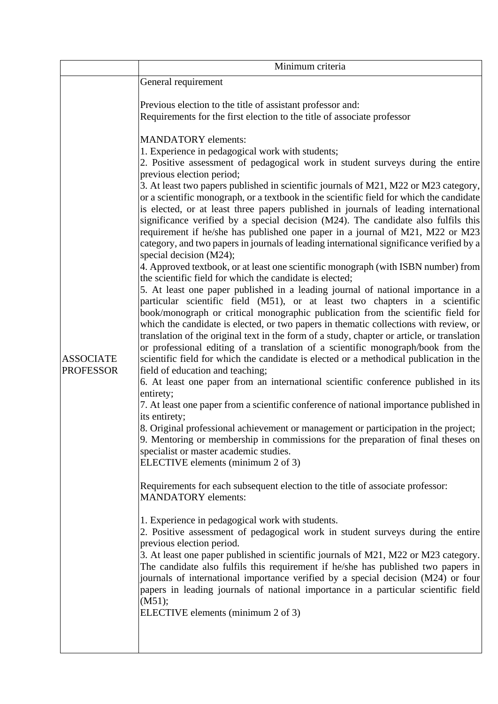|                                      | Minimum criteria                                                                                                                                                                                                                                                                                                                                                                                                                                                                                                                                                                                                                                                                                                                                                                                                                                                                                                                                                                                                                                                                                                                                                                                                                                                                                                                                                                                                                                                                                                                                                                                                                                                                                                                                                                                                                                                                                                                                                                                                                                                                                                                                                                                                                                                                                                                                                                                                                                                                                                                                                                                                                                                                                                                                               |
|--------------------------------------|----------------------------------------------------------------------------------------------------------------------------------------------------------------------------------------------------------------------------------------------------------------------------------------------------------------------------------------------------------------------------------------------------------------------------------------------------------------------------------------------------------------------------------------------------------------------------------------------------------------------------------------------------------------------------------------------------------------------------------------------------------------------------------------------------------------------------------------------------------------------------------------------------------------------------------------------------------------------------------------------------------------------------------------------------------------------------------------------------------------------------------------------------------------------------------------------------------------------------------------------------------------------------------------------------------------------------------------------------------------------------------------------------------------------------------------------------------------------------------------------------------------------------------------------------------------------------------------------------------------------------------------------------------------------------------------------------------------------------------------------------------------------------------------------------------------------------------------------------------------------------------------------------------------------------------------------------------------------------------------------------------------------------------------------------------------------------------------------------------------------------------------------------------------------------------------------------------------------------------------------------------------------------------------------------------------------------------------------------------------------------------------------------------------------------------------------------------------------------------------------------------------------------------------------------------------------------------------------------------------------------------------------------------------------------------------------------------------------------------------------------------------|
|                                      | General requirement                                                                                                                                                                                                                                                                                                                                                                                                                                                                                                                                                                                                                                                                                                                                                                                                                                                                                                                                                                                                                                                                                                                                                                                                                                                                                                                                                                                                                                                                                                                                                                                                                                                                                                                                                                                                                                                                                                                                                                                                                                                                                                                                                                                                                                                                                                                                                                                                                                                                                                                                                                                                                                                                                                                                            |
|                                      | Previous election to the title of assistant professor and:<br>Requirements for the first election to the title of associate professor                                                                                                                                                                                                                                                                                                                                                                                                                                                                                                                                                                                                                                                                                                                                                                                                                                                                                                                                                                                                                                                                                                                                                                                                                                                                                                                                                                                                                                                                                                                                                                                                                                                                                                                                                                                                                                                                                                                                                                                                                                                                                                                                                                                                                                                                                                                                                                                                                                                                                                                                                                                                                          |
| <b>ASSOCIATE</b><br><b>PROFESSOR</b> | <b>MANDATORY</b> elements:<br>1. Experience in pedagogical work with students;<br>2. Positive assessment of pedagogical work in student surveys during the entire<br>previous election period;<br>3. At least two papers published in scientific journals of M21, M22 or M23 category,<br>or a scientific monograph, or a textbook in the scientific field for which the candidate<br>is elected, or at least three papers published in journals of leading international<br>significance verified by a special decision (M24). The candidate also fulfils this<br>requirement if he/she has published one paper in a journal of M21, M22 or M23<br>category, and two papers in journals of leading international significance verified by a<br>special decision (M24);<br>4. Approved textbook, or at least one scientific monograph (with ISBN number) from<br>the scientific field for which the candidate is elected;<br>5. At least one paper published in a leading journal of national importance in a<br>particular scientific field (M51), or at least two chapters in a scientific<br>book/monograph or critical monographic publication from the scientific field for<br>which the candidate is elected, or two papers in thematic collections with review, or<br>translation of the original text in the form of a study, chapter or article, or translation<br>or professional editing of a translation of a scientific monograph/book from the<br>scientific field for which the candidate is elected or a methodical publication in the<br>field of education and teaching;<br>6. At least one paper from an international scientific conference published in its<br>entirety;<br>7. At least one paper from a scientific conference of national importance published in<br>its entirety;<br>8. Original professional achievement or management or participation in the project;<br>9. Mentoring or membership in commissions for the preparation of final theses on<br>specialist or master academic studies.<br>ELECTIVE elements (minimum 2 of 3)<br>Requirements for each subsequent election to the title of associate professor:<br><b>MANDATORY</b> elements:<br>1. Experience in pedagogical work with students.<br>2. Positive assessment of pedagogical work in student surveys during the entire<br>previous election period.<br>3. At least one paper published in scientific journals of M21, M22 or M23 category.<br>The candidate also fulfils this requirement if he/she has published two papers in<br>journals of international importance verified by a special decision (M24) or four<br>papers in leading journals of national importance in a particular scientific field<br>(M51);<br>ELECTIVE elements (minimum 2 of 3) |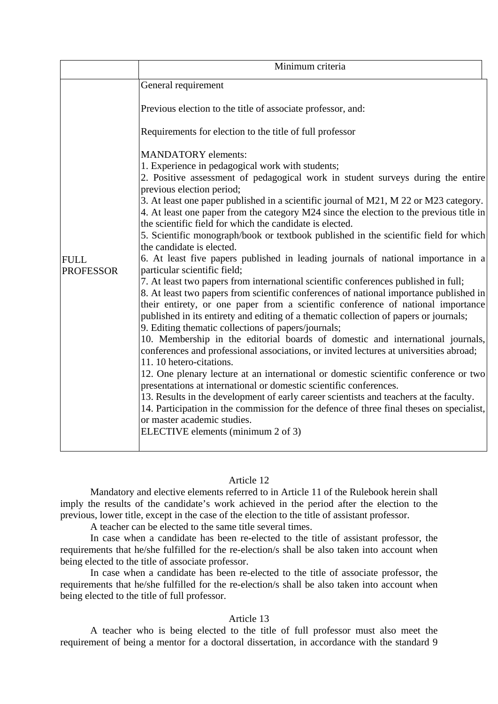|                                 | Minimum criteria                                                                                                                                                                                                                                                                                                                                                                                                                                                                                                                                                                                                                                                                                                                                                                                                                                                                                                                                                                                                                                                                                                                                                                                                                                                                                                                                                                                                                                                                                                                                                                                                                                                         |
|---------------------------------|--------------------------------------------------------------------------------------------------------------------------------------------------------------------------------------------------------------------------------------------------------------------------------------------------------------------------------------------------------------------------------------------------------------------------------------------------------------------------------------------------------------------------------------------------------------------------------------------------------------------------------------------------------------------------------------------------------------------------------------------------------------------------------------------------------------------------------------------------------------------------------------------------------------------------------------------------------------------------------------------------------------------------------------------------------------------------------------------------------------------------------------------------------------------------------------------------------------------------------------------------------------------------------------------------------------------------------------------------------------------------------------------------------------------------------------------------------------------------------------------------------------------------------------------------------------------------------------------------------------------------------------------------------------------------|
|                                 | General requirement                                                                                                                                                                                                                                                                                                                                                                                                                                                                                                                                                                                                                                                                                                                                                                                                                                                                                                                                                                                                                                                                                                                                                                                                                                                                                                                                                                                                                                                                                                                                                                                                                                                      |
|                                 | Previous election to the title of associate professor, and:                                                                                                                                                                                                                                                                                                                                                                                                                                                                                                                                                                                                                                                                                                                                                                                                                                                                                                                                                                                                                                                                                                                                                                                                                                                                                                                                                                                                                                                                                                                                                                                                              |
|                                 | Requirements for election to the title of full professor                                                                                                                                                                                                                                                                                                                                                                                                                                                                                                                                                                                                                                                                                                                                                                                                                                                                                                                                                                                                                                                                                                                                                                                                                                                                                                                                                                                                                                                                                                                                                                                                                 |
| <b>FULL</b><br><b>PROFESSOR</b> | <b>MANDATORY</b> elements:<br>1. Experience in pedagogical work with students;<br>2. Positive assessment of pedagogical work in student surveys during the entire<br>previous election period;<br>3. At least one paper published in a scientific journal of M21, M 22 or M23 category.<br>4. At least one paper from the category M24 since the election to the previous title in<br>the scientific field for which the candidate is elected.<br>5. Scientific monograph/book or textbook published in the scientific field for which<br>the candidate is elected.<br>6. At least five papers published in leading journals of national importance in a<br>particular scientific field;<br>7. At least two papers from international scientific conferences published in full;<br>8. At least two papers from scientific conferences of national importance published in<br>their entirety, or one paper from a scientific conference of national importance<br>published in its entirety and editing of a thematic collection of papers or journals;<br>9. Editing thematic collections of papers/journals;<br>10. Membership in the editorial boards of domestic and international journals,<br>conferences and professional associations, or invited lectures at universities abroad;<br>11.10 hetero-citations.<br>12. One plenary lecture at an international or domestic scientific conference or two<br>presentations at international or domestic scientific conferences.<br>13. Results in the development of early career scientists and teachers at the faculty.<br>14. Participation in the commission for the defence of three final theses on specialist, |
|                                 | or master academic studies.<br>ELECTIVE elements (minimum 2 of 3)                                                                                                                                                                                                                                                                                                                                                                                                                                                                                                                                                                                                                                                                                                                                                                                                                                                                                                                                                                                                                                                                                                                                                                                                                                                                                                                                                                                                                                                                                                                                                                                                        |

# Article 12

Mandatory and elective elements referred to in Article 11 of the Rulebook herein shall imply the results of the candidate's work achieved in the period after the election to the previous, lower title, except in the case of the election to the title of assistant professor.

A teacher can be elected to the same title several times.

In case when a candidate has been re-elected to the title of assistant professor, the requirements that he/she fulfilled for the re-election/s shall be also taken into account when being elected to the title of associate professor.

In case when a candidate has been re-elected to the title of associate professor, the requirements that he/she fulfilled for the re-election/s shall be also taken into account when being elected to the title of full professor.

# Article 13

A teacher who is being elected to the title of full professor must also meet the requirement of being a mentor for a doctoral dissertation, in accordance with the standard 9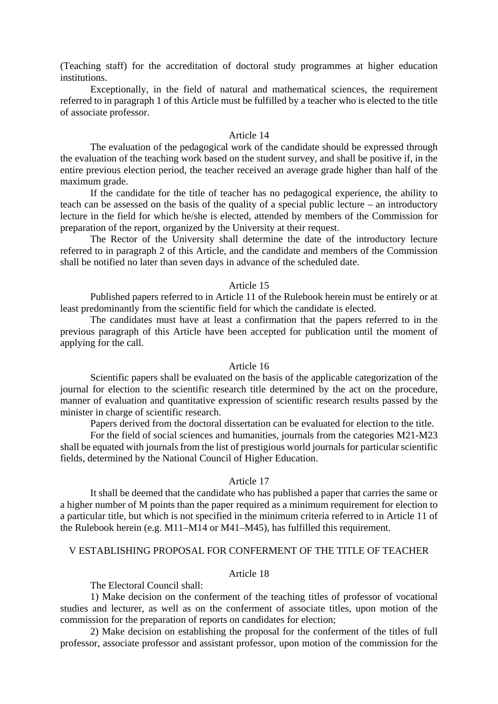(Teaching staff) for the accreditation of doctoral study programmes at higher education institutions.

Exceptionally, in the field of natural and mathematical sciences, the requirement referred to in paragraph 1 of this Article must be fulfilled by a teacher who is elected to the title of associate professor.

# Article 14

The evaluation of the pedagogical work of the candidate should be expressed through the evaluation of the teaching work based on the student survey, and shall be positive if, in the entire previous election period, the teacher received an average grade higher than half of the maximum grade.

If the candidate for the title of teacher has no pedagogical experience, the ability to teach can be assessed on the basis of the quality of a special public lecture – an introductory lecture in the field for which he/she is elected, attended by members of the Commission for preparation of the report, organized by the University at their request.

The Rector of the University shall determine the date of the introductory lecture referred to in paragraph 2 of this Article, and the candidate and members of the Commission shall be notified no later than seven days in advance of the scheduled date.

#### Article 15

Published papers referred to in Article 11 of the Rulebook herein must be entirely or at least predominantly from the scientific field for which the candidate is elected.

The candidates must have at least a confirmation that the papers referred to in the previous paragraph of this Article have been accepted for publication until the moment of applying for the call.

#### Article 16

Scientific papers shall be evaluated on the basis of the applicable categorization of the journal for election to the scientific research title determined by the act on the procedure, manner of evaluation and quantitative expression of scientific research results passed by the minister in charge of scientific research.

Papers derived from the doctoral dissertation can be evaluated for election to the title.

For the field of social sciences and humanities, journals from the categories M21-M23 shall be equated with journals from the list of prestigious world journals for particular scientific fields, determined by the National Council of Higher Education.

# Article 17

It shall be deemed that the candidate who has published a paper that carries the same or a higher number of M points than the paper required as a minimum requirement for election to a particular title, but which is not specified in the minimum criteria referred to in Article 11 of the Rulebook herein (e.g. M11–M14 or M41–M45), has fulfilled this requirement.

# V ESTABLISHING PROPOSAL FOR CONFERMENT OF THE TITLE OF TEACHER

# Article 18

The Electoral Council shall:

1) Make decision on the conferment of the teaching titles of professor of vocational studies and lecturer, as well as on the conferment of associate titles, upon motion of the commission for the preparation of reports on candidates for election;

2) Make decision on establishing the proposal for the conferment of the titles of full professor, associate professor and assistant professor, upon motion of the commission for the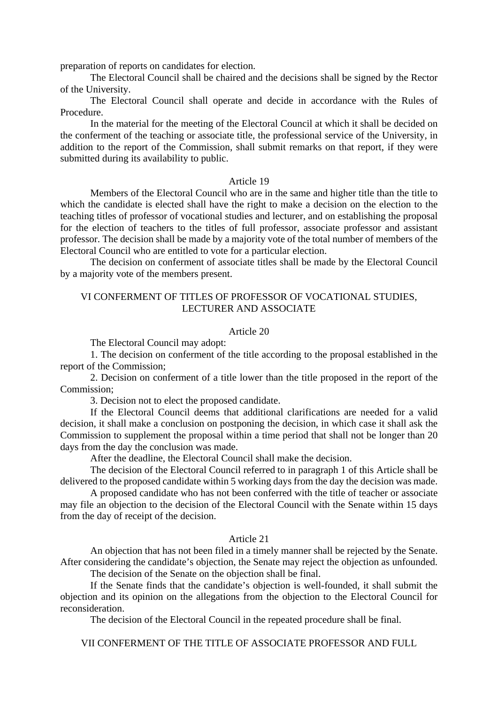preparation of reports on candidates for election.

The Electoral Council shall be chaired and the decisions shall be signed by the Rector of the University.

The Electoral Council shall operate and decide in accordance with the Rules of Procedure.

In the material for the meeting of the Electoral Council at which it shall be decided on the conferment of the teaching or associate title, the professional service of the University, in addition to the report of the Commission, shall submit remarks on that report, if they were submitted during its availability to public.

### Article 19

Members of the Electoral Council who are in the same and higher title than the title to which the candidate is elected shall have the right to make a decision on the election to the teaching titles of professor of vocational studies and lecturer, and on establishing the proposal for the election of teachers to the titles of full professor, associate professor and assistant professor. The decision shall be made by a majority vote of the total number of members of the Electoral Council who are entitled to vote for a particular election.

The decision on conferment of associate titles shall be made by the Electoral Council by a majority vote of the members present.

# VI CONFERMENT OF TITLES OF PROFESSOR OF VOCATIONAL STUDIES, LECTURER AND ASSOCIATE

### Article 20

The Electoral Council may adopt:

1. The decision on conferment of the title according to the proposal established in the report of the Commission;

2. Decision on conferment of a title lower than the title proposed in the report of the Commission;

3. Decision not to elect the proposed candidate.

If the Electoral Council deems that additional clarifications are needed for a valid decision, it shall make a conclusion on postponing the decision, in which case it shall ask the Commission to supplement the proposal within a time period that shall not be longer than 20 days from the day the conclusion was made.

After the deadline, the Electoral Council shall make the decision.

The decision of the Electoral Council referred to in paragraph 1 of this Article shall be delivered to the proposed candidate within 5 working days from the day the decision was made.

A proposed candidate who has not been conferred with the title of teacher or associate may file an objection to the decision of the Electoral Council with the Senate within 15 days from the day of receipt of the decision.

### Article 21

An objection that has not been filed in a timely manner shall be rejected by the Senate. After considering the candidate's objection, the Senate may reject the objection as unfounded.

The decision of the Senate on the objection shall be final.

If the Senate finds that the candidate's objection is well-founded, it shall submit the objection and its opinion on the allegations from the objection to the Electoral Council for reconsideration.

The decision of the Electoral Council in the repeated procedure shall be final.

VII CONFERMENT OF THE TITLE OF ASSOCIATE PROFESSOR AND FULL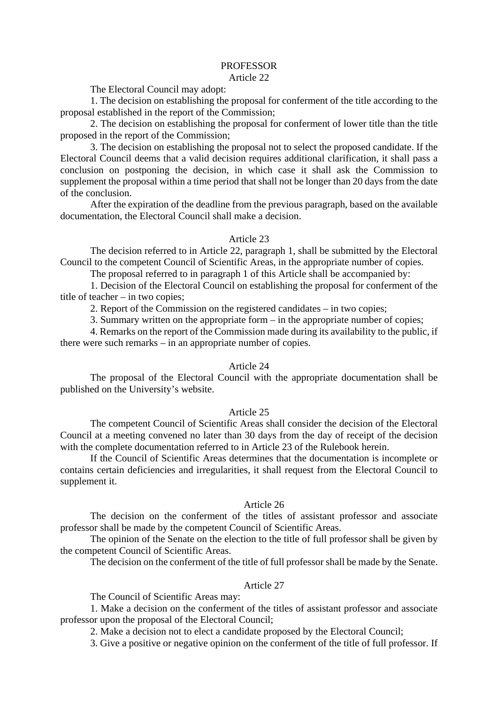# PROFESSOR

# Article 22

The Electoral Council may adopt:

1. The decision on establishing the proposal for conferment of the title according to the proposal established in the report of the Commission;

2. The decision on establishing the proposal for conferment of lower title than the title proposed in the report of the Commission;

3. The decision on establishing the proposal not to select the proposed candidate. If the Electoral Council deems that a valid decision requires additional clarification, it shall pass a conclusion on postponing the decision, in which case it shall ask the Commission to supplement the proposal within a time period that shall not be longer than 20 days from the date of the conclusion.

After the expiration of the deadline from the previous paragraph, based on the available documentation, the Electoral Council shall make a decision.

# Article 23

The decision referred to in Article 22, paragraph 1, shall be submitted by the Electoral Council to the competent Council of Scientific Areas, in the appropriate number of copies.

The proposal referred to in paragraph 1 of this Article shall be accompanied by:

1. Decision of the Electoral Council on establishing the proposal for conferment of the title of teacher – in two copies;

2. Report of the Commission on the registered candidates – in two copies;

3. Summary written on the appropriate form – in the appropriate number of copies;

4. Remarks on the report of the Commission made during its availability to the public, if there were such remarks – in an appropriate number of copies.

# Article 24

The proposal of the Electoral Council with the appropriate documentation shall be published on the University's website.

# Article 25

The competent Council of Scientific Areas shall consider the decision of the Electoral Council at a meeting convened no later than 30 days from the day of receipt of the decision with the complete documentation referred to in Article 23 of the Rulebook herein.

If the Council of Scientific Areas determines that the documentation is incomplete or contains certain deficiencies and irregularities, it shall request from the Electoral Council to supplement it.

# Article 26

The decision on the conferment of the titles of assistant professor and associate professor shall be made by the competent Council of Scientific Areas.

The opinion of the Senate on the election to the title of full professor shall be given by the competent Council of Scientific Areas.

The decision on the conferment of the title of full professor shall be made by the Senate.

# Article 27

The Council of Scientific Areas may:

1. Make a decision on the conferment of the titles of assistant professor and associate professor upon the proposal of the Electoral Council;

2. Make a decision not to elect a candidate proposed by the Electoral Council;

3. Give a positive or negative opinion on the conferment of the title of full professor. If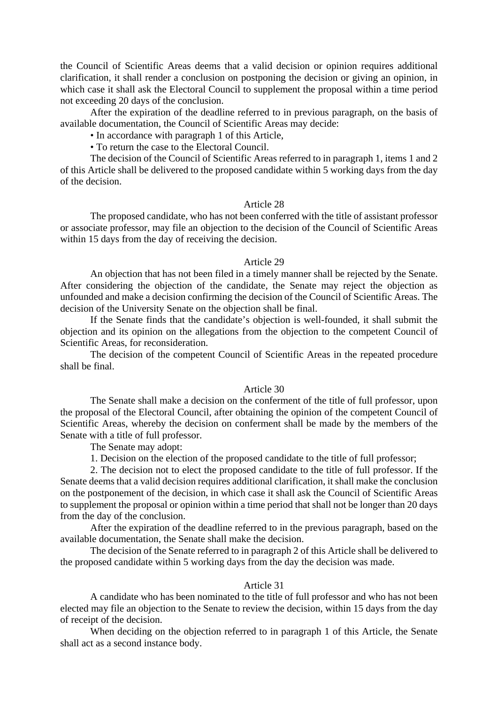the Council of Scientific Areas deems that a valid decision or opinion requires additional clarification, it shall render a conclusion on postponing the decision or giving an opinion, in which case it shall ask the Electoral Council to supplement the proposal within a time period not exceeding 20 days of the conclusion.

After the expiration of the deadline referred to in previous paragraph, on the basis of available documentation, the Council of Scientific Areas may decide:

• In accordance with paragraph 1 of this Article,

• To return the case to the Electoral Council.

The decision of the Council of Scientific Areas referred to in paragraph 1, items 1 and 2 of this Article shall be delivered to the proposed candidate within 5 working days from the day of the decision.

### Article 28

The proposed candidate, who has not been conferred with the title of assistant professor or associate professor, may file an objection to the decision of the Council of Scientific Areas within 15 days from the day of receiving the decision.

### Article 29

An objection that has not been filed in a timely manner shall be rejected by the Senate. After considering the objection of the candidate, the Senate may reject the objection as unfounded and make a decision confirming the decision of the Council of Scientific Areas. The decision of the University Senate on the objection shall be final.

If the Senate finds that the candidate's objection is well-founded, it shall submit the objection and its opinion on the allegations from the objection to the competent Council of Scientific Areas, for reconsideration.

The decision of the competent Council of Scientific Areas in the repeated procedure shall be final.

# Article 30

The Senate shall make a decision on the conferment of the title of full professor, upon the proposal of the Electoral Council, after obtaining the opinion of the competent Council of Scientific Areas, whereby the decision on conferment shall be made by the members of the Senate with a title of full professor.

The Senate may adopt:

1. Decision on the election of the proposed candidate to the title of full professor;

2. The decision not to elect the proposed candidate to the title of full professor. If the Senate deems that a valid decision requires additional clarification, it shall make the conclusion on the postponement of the decision, in which case it shall ask the Council of Scientific Areas to supplement the proposal or opinion within a time period that shall not be longer than 20 days from the day of the conclusion.

After the expiration of the deadline referred to in the previous paragraph, based on the available documentation, the Senate shall make the decision.

The decision of the Senate referred to in paragraph 2 of this Article shall be delivered to the proposed candidate within 5 working days from the day the decision was made.

### Article 31

A candidate who has been nominated to the title of full professor and who has not been elected may file an objection to the Senate to review the decision, within 15 days from the day of receipt of the decision.

When deciding on the objection referred to in paragraph 1 of this Article, the Senate shall act as a second instance body.